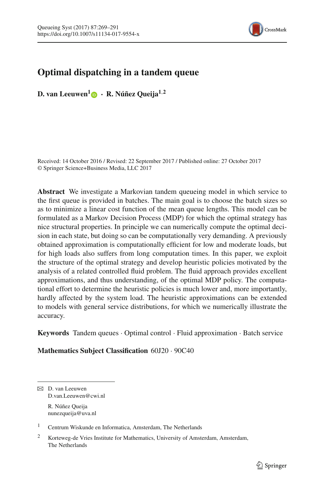

# **Optimal dispatching in a tandem queue**

**D. van Leeuwen**<sup>[1](http://orcid.org/0000-0002-5916-8030)</sup> **· R.** Núñez Queija<sup>1,2</sup>

Received: 14 October 2016 / Revised: 22 September 2017 / Published online: 27 October 2017 © Springer Science+Business Media, LLC 2017

**Abstract** We investigate a Markovian tandem queueing model in which service to the first queue is provided in batches. The main goal is to choose the batch sizes so as to minimize a linear cost function of the mean queue lengths. This model can be formulated as a Markov Decision Process (MDP) for which the optimal strategy has nice structural properties. In principle we can numerically compute the optimal decision in each state, but doing so can be computationally very demanding. A previously obtained approximation is computationally efficient for low and moderate loads, but for high loads also suffers from long computation times. In this paper, we exploit the structure of the optimal strategy and develop heuristic policies motivated by the analysis of a related controlled fluid problem. The fluid approach provides excellent approximations, and thus understanding, of the optimal MDP policy. The computational effort to determine the heuristic policies is much lower and, more importantly, hardly affected by the system load. The heuristic approximations can be extended to models with general service distributions, for which we numerically illustrate the accuracy.

**Keywords** Tandem queues · Optimal control · Fluid approximation · Batch service

**Mathematics Subject Classification** 60J20 · 90C40

R. Núñez Queija nunezqueija@uva.nl

<sup>1</sup> Centrum Wiskunde en Informatica, Amsterdam, The Netherlands

B D. van Leeuwen D.van.Leeuwen@cwi.nl

<sup>&</sup>lt;sup>2</sup> Korteweg-de Vries Institute for Mathematics, University of Amsterdam, Amsterdam, The Netherlands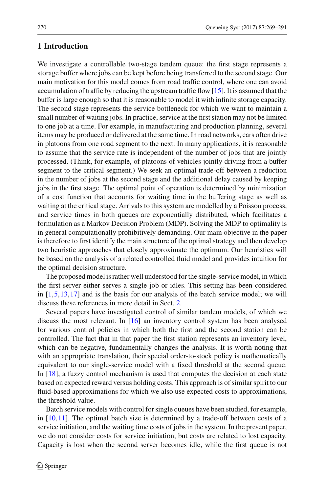# **1 Introduction**

We investigate a controllable two-stage tandem queue: the first stage represents a storage buffer where jobs can be kept before being transferred to the second stage. Our main motivation for this model comes from road traffic control, where one can avoid accumulation of traffic by reducing the upstream traffic flow [\[15\]](#page-22-0). It is assumed that the buffer is large enough so that it is reasonable to model it with infinite storage capacity. The second stage represents the service bottleneck for which we want to maintain a small number of waiting jobs. In practice, service at the first station may not be limited to one job at a time. For example, in manufacturing and production planning, several items may be produced or delivered at the same time. In road networks, cars often drive in platoons from one road segment to the next. In many applications, it is reasonable to assume that the service rate is independent of the number of jobs that are jointly processed. (Think, for example, of platoons of vehicles jointly driving from a buffer segment to the critical segment.) We seek an optimal trade-off between a reduction in the number of jobs at the second stage and the additional delay caused by keeping jobs in the first stage. The optimal point of operation is determined by minimization of a cost function that accounts for waiting time in the buffering stage as well as waiting at the critical stage. Arrivals to this system are modelled by a Poisson process, and service times in both queues are exponentially distributed, which facilitates a formulation as a Markov Decision Problem (MDP). Solving the MDP to optimality is in general computationally prohibitively demanding. Our main objective in the paper is therefore to first identify the main structure of the optimal strategy and then develop two heuristic approaches that closely approximate the optimum. Our heuristics will be based on the analysis of a related controlled fluid model and provides intuition for the optimal decision structure.

The proposed model is rather well understood for the single-service model, in which the first server either serves a single job or idles. This setting has been considered in  $[1,5,13,17]$  $[1,5,13,17]$  $[1,5,13,17]$  $[1,5,13,17]$  $[1,5,13,17]$  $[1,5,13,17]$  and is the basis for our analysis of the batch service model; we will discuss these references in more detail in Sect. [2.](#page-2-0)

Several papers have investigated control of similar tandem models, of which we discuss the most relevant. In [\[16\]](#page-22-3) an inventory control system has been analysed for various control policies in which both the first and the second station can be controlled. The fact that in that paper the first station represents an inventory level, which can be negative, fundamentally changes the analysis. It is worth noting that with an appropriate translation, their special order-to-stock policy is mathematically equivalent to our single-service model with a fixed threshold at the second queue. In [\[18](#page-22-4)], a fuzzy control mechanism is used that computes the decision at each state based on expected reward versus holding costs. This approach is of similar spirit to our fluid-based approximations for which we also use expected costs to approximations, the threshold value.

Batch service models with control for single queues have been studied, for example, in  $[10,11]$  $[10,11]$  $[10,11]$ . The optimal batch size is determined by a trade-off between costs of a service initiation, and the waiting time costs of jobs in the system. In the present paper, we do not consider costs for service initiation, but costs are related to lost capacity. Capacity is lost when the second server becomes idle, while the first queue is not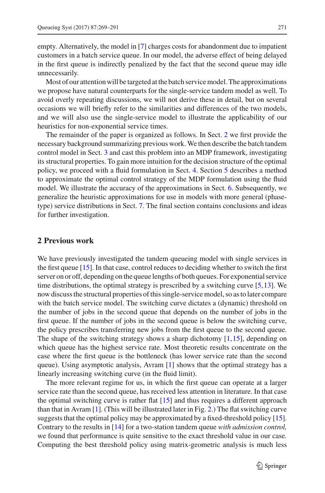empty. Alternatively, the model in [\[7\]](#page-21-4) charges costs for abandonment due to impatient customers in a batch service queue. In our model, the adverse effect of being delayed in the first queue is indirectly penalized by the fact that the second queue may idle unnecessarily.

Most of our attention will be targeted at the batch service model. The approximations we propose have natural counterparts for the single-service tandem model as well. To avoid overly repeating discussions, we will not derive these in detail, but on several occasions we will briefly refer to the similarities and differences of the two models, and we will also use the single-service model to illustrate the applicability of our heuristics for non-exponential service times.

The remainder of the paper is organized as follows. In Sect. [2](#page-2-0) we first provide the necessary background summarizing previous work. We then describe the batch tandem control model in Sect. [3](#page-3-0) and cast this problem into an MDP framework, investigating its structural properties. To gain more intuition for the decision structure of the optimal policy, we proceed with a fluid formulation in Sect. [4.](#page-7-0) Section [5](#page-10-0) describes a method to approximate the optimal control strategy of the MDP formulation using the fluid model. We illustrate the accuracy of the approximations in Sect. [6.](#page-12-0) Subsequently, we generalize the heuristic approximations for use in models with more general (phasetype) service distributions in Sect. [7.](#page-14-0) The final section contains conclusions and ideas for further investigation.

## <span id="page-2-0"></span>**2 Previous work**

We have previously investigated the tandem queueing model with single services in the first queue [\[15](#page-22-0)]. In that case, control reduces to deciding whether to switch the first server on or off, depending on the queue lengths of both queues. For exponential service time distributions, the optimal strategy is prescribed by a switching curve [\[5,](#page-21-1)[13\]](#page-22-1). We now discuss the structural properties of this single-service model, so as to later compare with the batch service model. The switching curve dictates a (dynamic) threshold on the number of jobs in the second queue that depends on the number of jobs in the first queue. If the number of jobs in the second queue is below the switching curve, the policy prescribes transferring new jobs from the first queue to the second queue. The shape of the switching strategy shows a sharp dichotomy  $[1,15]$  $[1,15]$  $[1,15]$ , depending on which queue has the highest service rate. Most theoretic results concentrate on the case where the first queue is the bottleneck (has lower service rate than the second queue). Using asymptotic analysis, Avram [\[1\]](#page-21-0) shows that the optimal strategy has a linearly increasing switching curve (in the fluid limit).

The more relevant regime for us, in which the first queue can operate at a larger service rate than the second queue, has received less attention in literature. In that case the optimal switching curve is rather flat [\[15\]](#page-22-0) and thus requires a different approach than that in Avram  $[1]$  $[1]$ . (This will be illustrated later in Fig. [2.](#page-6-0)) The flat switching curve suggests that the optimal policy may be approximated by a fixed-threshold policy [\[15](#page-22-0)]. Contrary to the results in [\[14](#page-22-5)] for a two-station tandem queue *with admission control,* we found that performance is quite sensitive to the exact threshold value in our case. Computing the best threshold policy using matrix-geometric analysis is much less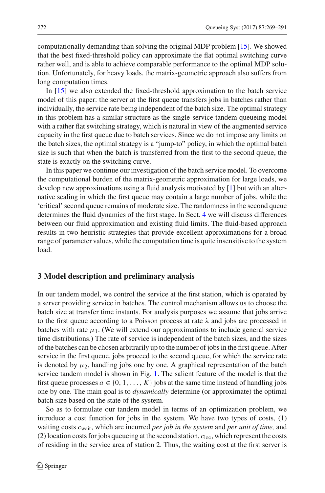computationally demanding than solving the original MDP problem [\[15\]](#page-22-0). We showed that the best fixed-threshold policy can approximate the flat optimal switching curve rather well, and is able to achieve comparable performance to the optimal MDP solution. Unfortunately, for heavy loads, the matrix-geometric approach also suffers from long computation times.

In [\[15](#page-22-0)] we also extended the fixed-threshold approximation to the batch service model of this paper: the server at the first queue transfers jobs in batches rather than individually, the service rate being independent of the batch size. The optimal strategy in this problem has a similar structure as the single-service tandem queueing model with a rather flat switching strategy, which is natural in view of the augmented service capacity in the first queue due to batch services. Since we do not impose any limits on the batch sizes, the optimal strategy is a "jump-to" policy, in which the optimal batch size is such that when the batch is transferred from the first to the second queue, the state is exactly on the switching curve.

In this paper we continue our investigation of the batch service model. To overcome the computational burden of the matrix-geometric approximation for large loads, we develop new approximations using a fluid analysis motivated by [\[1](#page-21-0)] but with an alternative scaling in which the first queue may contain a large number of jobs, while the 'critical' second queue remains of moderate size. The randomness in the second queue determines the fluid dynamics of the first stage. In Sect. [4](#page-7-0) we will discuss differences between our fluid approximation and existing fluid limits. The fluid-based approach results in two heuristic strategies that provide excellent approximations for a broad range of parameter values, while the computation time is quite insensitive to the system load.

#### <span id="page-3-0"></span>**3 Model description and preliminary analysis**

In our tandem model, we control the service at the first station, which is operated by a server providing service in batches. The control mechanism allows us to choose the batch size at transfer time instants. For analysis purposes we assume that jobs arrive to the first queue according to a Poisson process at rate  $\lambda$  and jobs are processed in batches with rate  $\mu_1$ . (We will extend our approximations to include general service time distributions.) The rate of service is independent of the batch sizes, and the sizes of the batches can be chosen arbitrarily up to the number of jobs in the first queue. After service in the first queue, jobs proceed to the second queue, for which the service rate is denoted by  $\mu_2$ , handling jobs one by one. A graphical representation of the batch service tandem model is shown in Fig. [1.](#page-4-0) The salient feature of the model is that the first queue processes  $a \in \{0, 1, \ldots, K\}$  jobs at the same time instead of handling jobs one by one. The main goal is to *dynamically* determine (or approximate) the optimal batch size based on the state of the system.

So as to formulate our tandem model in terms of an optimization problem, we introduce a cost function for jobs in the system. We have two types of costs, (1) waiting costs *c*wait, which are incurred *per job in the system* and *per unit of time,* and (2) location costs for jobs queueing at the second station, *c*loc, which represent the costs of residing in the service area of station 2. Thus, the waiting cost at the first server is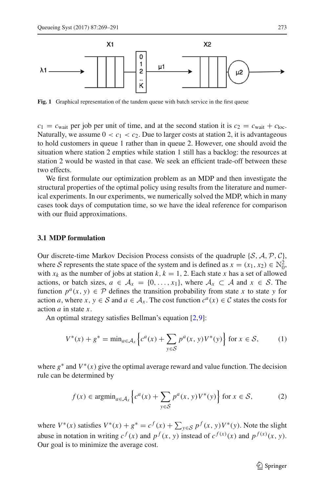

<span id="page-4-0"></span>**Fig. 1** Graphical representation of the tandem queue with batch service in the first queue

 $c_1 = c_{\text{wait}}$  per job per unit of time, and at the second station it is  $c_2 = c_{\text{wait}} + c_{\text{loc}}$ . Naturally, we assume  $0 < c_1 < c_2$ . Due to larger costs at station 2, it is advantageous to hold customers in queue 1 rather than in queue 2. However, one should avoid the situation where station 2 empties while station 1 still has a backlog: the resources at station 2 would be wasted in that case. We seek an efficient trade-off between these two effects.

We first formulate our optimization problem as an MDP and then investigate the structural properties of the optimal policy using results from the literature and numerical experiments. In our experiments, we numerically solved the MDP, which in many cases took days of computation time, so we have the ideal reference for comparison with our fluid approximations.

#### **3.1 MDP formulation**

Our discrete-time Markov Decision Process consists of the quadruple {*S*, *A*,*P*, *C*}, where *S* represents the state space of the system and is defined as  $x = (x_1, x_2) \in \mathbb{N}_0^2$ , with  $x_k$  as the number of jobs at station  $k, k = 1, 2$ . Each state x has a set of allowed actions, or batch sizes,  $a \in A_x = \{0, \ldots, x_1\}$ , where  $A_x \subset A$  and  $x \in S$ . The function  $p^a(x, y) \in \mathcal{P}$  defines the transition probability from state *x* to state *y* for action *a*, where *x*,  $y \in S$  and  $a \in A_x$ . The cost function  $c^a(x) \in C$  states the costs for action *a* in state *x*.

An optimal strategy satisfies Bellman's equation [\[2,](#page-21-5)[9\]](#page-21-6):

$$
V^*(x) + g^* = \min_{a \in \mathcal{A}_x} \left\{ c^a(x) + \sum_{y \in \mathcal{S}} p^a(x, y) V^*(y) \right\} \text{ for } x \in \mathcal{S}, \tag{1}
$$

where  $g^*$  and  $V^*(x)$  give the optimal average reward and value function. The decision rule can be determined by

<span id="page-4-1"></span>
$$
f(x) \in \operatorname{argmin}_{a \in \mathcal{A}_x} \left\{ c^a(x) + \sum_{y \in \mathcal{S}} p^a(x, y) V^*(y) \right\} \text{ for } x \in \mathcal{S},\tag{2}
$$

where  $V^*(x)$  satisfies  $V^*(x) + g^* = c^f(x) + \sum_{y \in S} p^f(x, y) V^*(y)$ . Note the slight abuse in notation in writing  $c^f(x)$  and  $p^f(x, y)$  instead of  $c^{f(x)}(x)$  and  $p^{f(x)}(x, y)$ . Our goal is to minimize the average cost.

 $\mathcal{L}$  Springer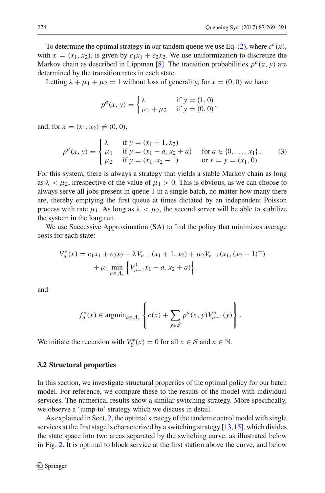To determine the optimal strategy in our tandem queue we use Eq. [\(2\)](#page-4-1), where  $c<sup>a</sup>(x)$ , with  $x = (x_1, x_2)$ , is given by  $c_1x_1 + c_2x_2$ . We use uniformization to discretize the Markov chain as described in Lippman [\[8\]](#page-21-7). The transition probabilities  $p^a(x, y)$  are determined by the transition rates in each state.

Letting  $\lambda + \mu_1 + \mu_2 = 1$  without loss of generality, for  $x = (0, 0)$  we have

$$
p^{a}(x, y) = \begin{cases} \lambda & \text{if } y = (1, 0) \\ \mu_{1} + \mu_{2} & \text{if } y = (0, 0) \end{cases}
$$

and, for  $x = (x_1, x_2) \neq (0, 0)$ ,

$$
p^{a}(x, y) = \begin{cases} \lambda & \text{if } y = (x_{1} + 1, x_{2}) \\ \mu_{1} & \text{if } y = (x_{1} - a, x_{2} + a) \\ \mu_{2} & \text{if } y = (x_{1}, x_{2} - 1) \end{cases} \quad \text{for } a \in \{0, ..., x_{1}\}. \tag{3}
$$

For this system, there is always a strategy that yields a stable Markov chain as long as  $\lambda < \mu_2$ , irrespective of the value of  $\mu_1 > 0$ . This is obvious, as we can choose to always serve all jobs present in queue 1 in a single batch, no matter how many there are, thereby emptying the first queue at times dictated by an independent Poisson process with rate  $\mu_1$ . As long as  $\lambda < \mu_2$ , the second server will be able to stabilize the system in the long run.

We use Successive Approximation (SA) to find the policy that minimizes average costs for each state:

$$
V_n^*(x) = c_1x_1 + c_2x_2 + \lambda V_{n-1}(x_1 + 1, x_2) + \mu_2 V_{n-1}(x_1, (x_2 - 1)^+) + \mu_1 \min_{a \in \mathcal{A}_x} \left\{ V_{n-1}^{\langle a_1, a_2, a_1 + \dots + \langle a_n, a_n \rangle} \right\},
$$

and

$$
f_n^*(x) \in \operatorname{argmin}_{a \in \mathcal{A}_x} \left\{ c(x) + \sum_{y \in \mathcal{S}} p^a(x, y) V_{n-1}^*(y) \right\}.
$$

We initiate the recursion with  $V_0^*(x) = 0$  for all  $x \in S$  and  $n \in \mathbb{N}$ .

#### **3.2 Structural properties**

In this section, we investigate structural properties of the optimal policy for our batch model. For reference, we compare these to the results of the model with individual services. The numerical results show a similar switching strategy. More specifically, we observe a 'jump-to' strategy which we discuss in detail.

As explained in Sect. [2,](#page-2-0) the optimal strategy of the tandem control model with single services at the first stage is characterized by a switching strategy [\[13](#page-22-1)[,15](#page-22-0)], which divides the state space into two areas separated by the switching curve, as illustrated below in Fig. [2.](#page-6-0) It is optimal to block service at the first station above the curve, and below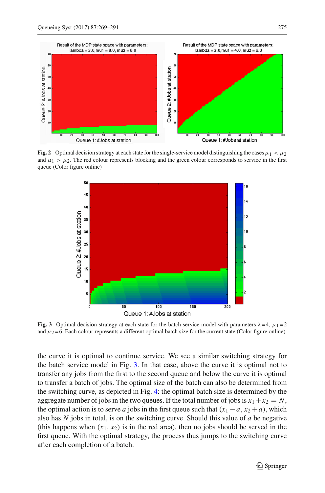

<span id="page-6-0"></span>**Fig. 2** Optimal decision strategy at each state for the single-service model distinguishing the cases  $\mu_1 < \mu_2$ and  $\mu_1 > \mu_2$ . The red colour represents blocking and the green colour corresponds to service in the first queue (Color figure online)



<span id="page-6-1"></span>**Fig. 3** Optimal decision strategy at each state for the batch service model with parameters  $\lambda = 4$ ,  $\mu_1 = 2$ and  $\mu_2$  = 6. Each colour represents a different optimal batch size for the current state (Color figure online)

the curve it is optimal to continue service. We see a similar switching strategy for the batch service model in Fig. [3.](#page-6-1) In that case, above the curve it is optimal not to transfer any jobs from the first to the second queue and below the curve it is optimal to transfer a batch of jobs. The optimal size of the batch can also be determined from the switching curve, as depicted in Fig. [4:](#page-7-1) the optimal batch size is determined by the aggregate number of jobs in the two queues. If the total number of jobs is  $x_1 + x_2 = N$ , the optimal action is to serve *a* jobs in the first queue such that  $(x_1 - a, x_2 + a)$ , which also has *N* jobs in total, is on the switching curve. Should this value of *a* be negative (this happens when  $(x_1, x_2)$  is in the red area), then no jobs should be served in the first queue. With the optimal strategy, the process thus jumps to the switching curve after each completion of a batch.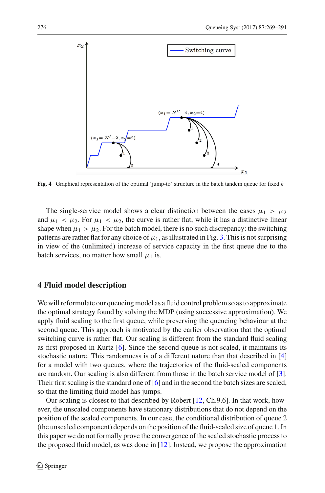

<span id="page-7-1"></span>**Fig. 4** Graphical representation of the optimal 'jump-to' structure in the batch tandem queue for fixed *k*

The single-service model shows a clear distinction between the cases  $\mu_1 > \mu_2$ and  $\mu_1 < \mu_2$ . For  $\mu_1 < \mu_2$ , the curve is rather flat, while it has a distinctive linear shape when  $\mu_1 > \mu_2$ . For the batch model, there is no such discrepancy: the switching patterns are rather flat for any choice of  $\mu_1$ , as illustrated in Fig. [3.](#page-6-1) This is not surprising in view of the (unlimited) increase of service capacity in the first queue due to the batch services, no matter how small  $\mu_1$  is.

## <span id="page-7-0"></span>**4 Fluid model description**

We will reformulate our queueing model as a fluid control problem so as to approximate the optimal strategy found by solving the MDP (using successive approximation). We apply fluid scaling to the first queue, while preserving the queueing behaviour at the second queue. This approach is motivated by the earlier observation that the optimal switching curve is rather flat. Our scaling is different from the standard fluid scaling as first proposed in Kurtz [\[6](#page-21-8)]. Since the second queue is not scaled, it maintains its stochastic nature. This randomness is of a different nature than that described in [\[4\]](#page-21-9) for a model with two queues, where the trajectories of the fluid-scaled components are random. Our scaling is also different from those in the batch service model of [\[3](#page-21-10)]. Their first scaling is the standard one of [\[6\]](#page-21-8) and in the second the batch sizes are scaled, so that the limiting fluid model has jumps.

Our scaling is closest to that described by Robert [\[12,](#page-21-11) Ch.9.6]. In that work, however, the unscaled components have stationary distributions that do not depend on the position of the scaled components. In our case, the conditional distribution of queue 2 (the unscaled component) depends on the position of the fluid-scaled size of queue 1. In this paper we do not formally prove the convergence of the scaled stochastic process to the proposed fluid model, as was done in [\[12\]](#page-21-11). Instead, we propose the approximation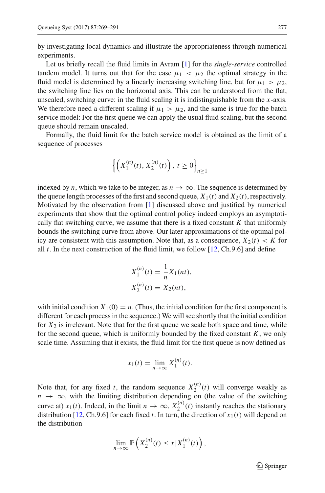by investigating local dynamics and illustrate the appropriateness through numerical experiments.

Let us briefly recall the fluid limits in Avram [\[1\]](#page-21-0) for the *single-service* controlled tandem model. It turns out that for the case  $\mu_1 < \mu_2$  the optimal strategy in the fluid model is determined by a linearly increasing switching line, but for  $\mu_1 > \mu_2$ , the switching line lies on the horizontal axis. This can be understood from the flat, unscaled, switching curve: in the fluid scaling it is indistinguishable from the *x*-axis. We therefore need a different scaling if  $\mu_1 > \mu_2$ , and the same is true for the batch service model: For the first queue we can apply the usual fluid scaling, but the second queue should remain unscaled.

Formally, the fluid limit for the batch service model is obtained as the limit of a sequence of processes

$$
\left\{ \left( X_1^{(n)}(t), X_2^{(n)}(t) \right), \ t \ge 0 \right\}_{n \ge 1}
$$

indexed by *n*, which we take to be integer, as  $n \to \infty$ . The sequence is determined by the queue length processes of the first and second queue,  $X_1(t)$  and  $X_2(t)$ , respectively. Motivated by the observation from [\[1](#page-21-0)] discussed above and justified by numerical experiments that show that the optimal control policy indeed employs an asymptotically flat switching curve, we assume that there is a fixed constant *K* that uniformly bounds the switching curve from above. Our later approximations of the optimal policy are consistent with this assumption. Note that, as a consequence,  $X_2(t) < K$  for all  $t$ . In the next construction of the fluid limit, we follow  $[12, Ch.9.6]$  $[12, Ch.9.6]$  and define

$$
X_1^{(n)}(t) = \frac{1}{n} X_1(nt),
$$
  

$$
X_2^{(n)}(t) = X_2(nt),
$$

with initial condition  $X_1(0) = n$ . (Thus, the initial condition for the first component is different for each process in the sequence.) We will see shortly that the initial condition for  $X_2$  is irrelevant. Note that for the first queue we scale both space and time, while for the second queue, which is uniformly bounded by the fixed constant *K*, we only scale time. Assuming that it exists, the fluid limit for the first queue is now defined as

$$
x_1(t) = \lim_{n \to \infty} X_1^{(n)}(t).
$$

Note that, for any fixed *t*, the random sequence  $X_2^{(n)}(t)$  will converge weakly as  $n \to \infty$ , with the limiting distribution depending on (the value of the switching curve at) *x*<sub>1</sub>(*t*). Indeed, in the limit  $n \to \infty$ ,  $X_2^{(n)}(t)$  instantly reaches the stationary distribution [\[12,](#page-21-11) Ch.9.6] for each fixed *t*. In turn, the direction of  $x_1(t)$  will depend on the distribution

$$
\lim_{n\to\infty}\mathbb{P}\left(X_2^{(n)}(t)\leq x|X_1^{(n)}(t)\right),\,
$$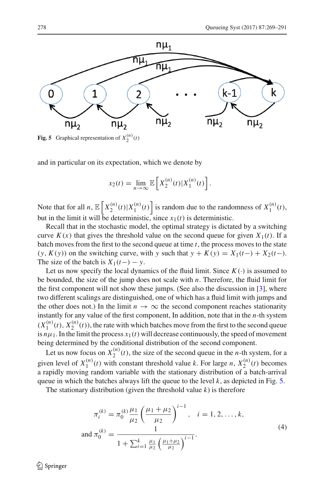

<span id="page-9-0"></span>**Fig. 5** Graphical representation of  $X_2^{(n)}(t)$ 

and in particular on its expectation, which we denote by

$$
x_2(t) = \lim_{n \to \infty} \mathbb{E}\left[X_2^{(n)}(t) | X_1^{(n)}(t)\right].
$$

Note that for all  $n, \mathbb{E}\left[X_2^{(n)}(t)|X_1^{(n)}(t)\right]$  is random due to the randomness of  $X_1^{(n)}(t)$ , but in the limit it will be deterministic, since  $x_1(t)$  is deterministic.

Recall that in the stochastic model, the optimal strategy is dictated by a switching curve  $K(x)$  that gives the threshold value on the second queue for given  $X_1(t)$ . If a batch moves from the first to the second queue at time *t*, the process moves to the state  $(y, K(y))$  on the switching curve, with *y* such that  $y + K(y) = X_1(t-) + X_2(t-)$ . The size of the batch is  $X_1(t-) - y$ .

Let us now specify the local dynamics of the fluid limit. Since  $K(\cdot)$  is assumed to be bounded, the size of the jump does not scale with *n*. Therefore, the fluid limit for the first component will not show these jumps. (See also the discussion in [\[3](#page-21-10)], where two different scalings are distinguished, one of which has a fluid limit with jumps and the other does not.) In the limit  $n \to \infty$  the second component reaches stationarity instantly for any value of the first component, In addition, note that in the *n*-th system  $(X_1^{(n)}(t), X_2^{(n)}(t))$ , the rate with which batches move from the first to the second queue is  $n\mu_1$ . In the limit the process  $x_1(t)$  will decrease continuously, the speed of movement being determined by the conditional distribution of the second component.

Let us now focus on  $X_2^{(n)}(t)$ , the size of the second queue in the *n*-th system, for a given level of  $X_1^{(n)}(t)$  with constant threshold value *k*. For large *n*,  $X_2^{(n)}(t)$  becomes a rapidly moving random variable with the stationary distribution of a batch-arrival queue in which the batches always lift the queue to the level  $k$ , as depicted in Fig. [5.](#page-9-0)

The stationary distribution (given the threshold value *k*) is therefore

<span id="page-9-1"></span>
$$
\pi_i^{(k)} = \pi_0^{(k)} \frac{\mu_1}{\mu_2} \left( \frac{\mu_1 + \mu_2}{\mu_2} \right)^{i-1}, \quad i = 1, 2, \dots, k,
$$
  
and 
$$
\pi_0^{(k)} = \frac{1}{1 + \sum_{i=1}^k \frac{\mu_1}{\mu_2} \left( \frac{\mu_1 + \mu_2}{\mu_2} \right)^{i-1}}.
$$
 (4)

 $\textcircled{2}$  Springer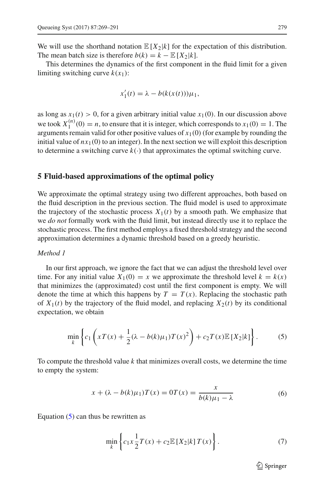We will use the shorthand notation  $E[X_2|k]$  for the expectation of this distribution. The mean batch size is therefore  $b(k) = k - \mathbb{E}[X_2|k]$ .

This determines the dynamics of the first component in the fluid limit for a given limiting switching curve  $k(x_1)$ :

$$
x_1'(t) = \lambda - b(k(x(t)))\mu_1,
$$

as long as  $x_1(t) > 0$ , for a given arbitrary initial value  $x_1(0)$ . In our discussion above we took  $X_1^{(n)}(0) = n$ , to ensure that it is integer, which corresponds to  $x_1(0) = 1$ . The arguments remain valid for other positive values of  $x_1(0)$  (for example by rounding the initial value of  $nx_1(0)$  to an integer). In the next section we will exploit this description to determine a switching curve  $k(\cdot)$  that approximates the optimal switching curve.

## <span id="page-10-0"></span>**5 Fluid-based approximations of the optimal policy**

We approximate the optimal strategy using two different approaches, both based on the fluid description in the previous section. The fluid model is used to approximate the trajectory of the stochastic process  $X_1(t)$  by a smooth path. We emphasize that we *do not* formally work with the fluid limit, but instead directly use it to replace the stochastic process. The first method employs a fixed threshold strategy and the second approximation determines a dynamic threshold based on a greedy heuristic.

#### *Method 1*

In our first approach, we ignore the fact that we can adjust the threshold level over time. For any initial value  $X_1(0) = x$  we approximate the threshold level  $k = k(x)$ that minimizes the (approximated) cost until the first component is empty. We will denote the time at which this happens by  $T = T(x)$ . Replacing the stochastic path of  $X_1(t)$  by the trajectory of the fluid model, and replacing  $X_2(t)$  by its conditional expectation, we obtain

<span id="page-10-1"></span>
$$
\min_{k} \left\{ c_1 \left( xT(x) + \frac{1}{2} (\lambda - b(k)\mu_1) T(x)^2 \right) + c_2 T(x) \mathbb{E} [X_2|k] \right\}.
$$
 (5)

To compute the threshold value *k* that minimizes overall costs, we determine the time to empty the system:

$$
x + (\lambda - b(k)\mu_1)T(x) = 0T(x) = \frac{x}{b(k)\mu_1 - \lambda}
$$
 (6)

Equation  $(5)$  can thus be rewritten as

$$
\min_{k} \left\{ c_1 x \frac{1}{2} T(x) + c_2 \mathbb{E} \left[ X_2 | k \right] T(x) \right\}. \tag{7}
$$

 $\mathcal{D}$  Springer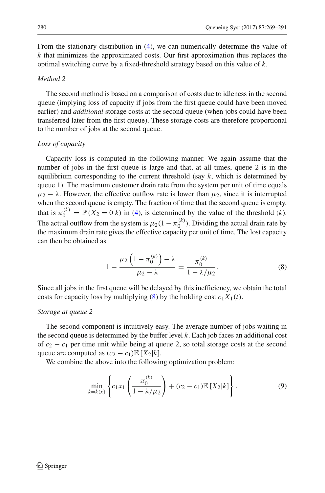From the stationary distribution in [\(4\)](#page-9-1), we can numerically determine the value of *k* that minimizes the approximated costs. Our first approximation thus replaces the optimal switching curve by a fixed-threshold strategy based on this value of *k*.

## *Method 2*

The second method is based on a comparison of costs due to idleness in the second queue (implying loss of capacity if jobs from the first queue could have been moved earlier) and *additional* storage costs at the second queue (when jobs could have been transferred later from the first queue). These storage costs are therefore proportional to the number of jobs at the second queue.

## *Loss of capacity*

Capacity loss is computed in the following manner. We again assume that the number of jobs in the first queue is large and that, at all times, queue 2 is in the equilibrium corresponding to the current threshold (say *k*, which is determined by queue 1). The maximum customer drain rate from the system per unit of time equals  $\mu_2 - \lambda$ . However, the effective outflow rate is lower than  $\mu_2$ , since it is interrupted when the second queue is empty. The fraction of time that the second queue is empty, that is  $\pi_0^{(k)} = \mathbb{P}(X_2 = 0|k)$  in [\(4\)](#page-9-1), is determined by the value of the threshold (*k*). The actual outflow from the system is  $\mu_2(1 - \pi_0^{(k)})$ . Dividing the actual drain rate by the maximum drain rate gives the effective capacity per unit of time. The lost capacity can then be obtained as

<span id="page-11-0"></span>
$$
1 - \frac{\mu_2 \left(1 - \pi_0^{(k)}\right) - \lambda}{\mu_2 - \lambda} = \frac{\pi_0^{(k)}}{1 - \lambda/\mu_2}.
$$
 (8)

Since all jobs in the first queue will be delayed by this inefficiency, we obtain the total costs for capacity loss by multiplying  $(8)$  by the holding cost  $c_1X_1(t)$ .

## *Storage at queue 2*

The second component is intuitively easy. The average number of jobs waiting in the second queue is determined by the buffer level *k*. Each job faces an additional cost of  $c_2 - c_1$  per time unit while being at queue 2, so total storage costs at the second queue are computed as  $(c_2 - c_1) \mathbb{E}[X_2|k]$ .

We combine the above into the following optimization problem:

$$
\min_{k=k(x)} \left\{ c_1 x_1 \left( \frac{\pi_0^{(k)}}{1 - \lambda/\mu_2} \right) + (c_2 - c_1) \mathbb{E} \left[ X_2 | k \right] \right\}. \tag{9}
$$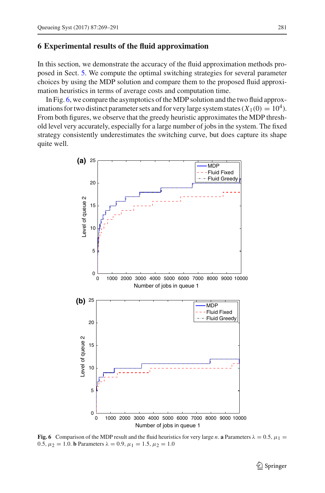## <span id="page-12-0"></span>**6 Experimental results of the fluid approximation**

In this section, we demonstrate the accuracy of the fluid approximation methods proposed in Sect. [5.](#page-10-0) We compute the optimal switching strategies for several parameter choices by using the MDP solution and compare them to the proposed fluid approximation heuristics in terms of average costs and computation time.

In Fig. [6,](#page-12-1) we compare the asymptotics of the MDP solution and the two fluid approximations for two distinct parameter sets and for very large system states  $(X_1(0) = 10^4)$ . From both figures, we observe that the greedy heuristic approximates the MDP threshold level very accurately, especially for a large number of jobs in the system. The fixed strategy consistently underestimates the switching curve, but does capture its shape quite well.



<span id="page-12-1"></span>**Fig. 6** Comparison of the MDP result and the fluid heuristics for very large *n*. **a** Parameters  $\lambda = 0.5$ ,  $\mu_1 =$ 0.5,  $\mu_2 = 1.0$ . **b** Parameters  $\lambda = 0.9$ ,  $\mu_1 = 1.5$ ,  $\mu_2 = 1.0$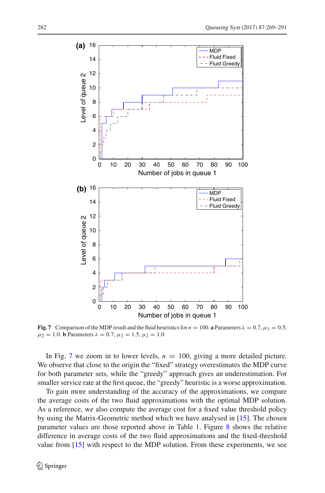

<span id="page-13-0"></span>**Fig. 7** Comparison of the MDP result and the fluid heuristics for  $n = 100$ . **a** Parameters  $\lambda = 0.7$ ,  $\mu_1 = 0.5$ ,  $\mu_2 = 1.0$ . **b** Parameters  $\lambda = 0.7$ ,  $\mu_1 = 1.5$ ,  $\mu_2 = 1.0$ 

In Fig. [7](#page-13-0) we zoom in to lower levels,  $n = 100$ , giving a more detailed picture. We observe that close to the origin the "fixed" strategy overestimates the MDP curve for both parameter sets, while the "greedy" approach gives an underestimation. For smaller service rate at the first queue, the "greedy" heuristic is a worse approximation.

To gain more understanding of the accuracy of the approximations, we compare the average costs of the two fluid approximations with the optimal MDP solution. As a reference, we also compute the average cost for a fixed value threshold policy by using the Matrix-Geometric method which we have analysed in [\[15\]](#page-22-0). The chosen parameter values are those reported above in Table [1.](#page-14-1) Figure [8](#page-15-0) shows the relative difference in average costs of the two fluid approximations and the fixed-threshold value from [\[15\]](#page-22-0) with respect to the MDP solution. From these experiments, we see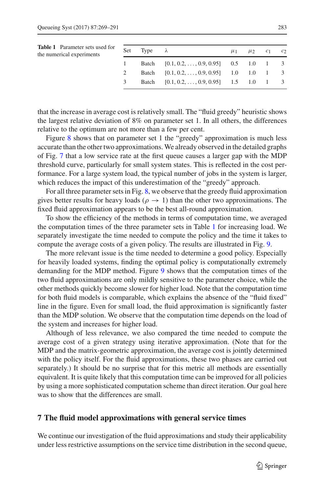<span id="page-14-1"></span>

| <b>Table 1</b> Parameter sets used for<br>the numerical experiments | Set | Type $\lambda$ |                                             | $\mu_1$ $\mu_2$ $c_1$ $c_2$ |  |
|---------------------------------------------------------------------|-----|----------------|---------------------------------------------|-----------------------------|--|
|                                                                     |     |                | Batch $[0.1, 0.2, , 0.9, 0.95]$ 0.5 1.0 1 3 |                             |  |
|                                                                     | 2   |                | Batch $[0.1, 0.2, , 0.9, 0.95]$ 1.0 1.0 1 3 |                             |  |
|                                                                     | 3   |                | Batch $[0.1, 0.2, , 0.9, 0.95]$ 1.5 1.0 1 3 |                             |  |
|                                                                     |     |                |                                             |                             |  |

that the increase in average cost is relatively small. The "fluid greedy" heuristic shows the largest relative deviation of 8% on parameter set 1. In all others, the differences relative to the optimum are not more than a few per cent.

Figure [8](#page-15-0) shows that on parameter set 1 the "greedy" approximation is much less accurate than the other two approximations. We already observed in the detailed graphs of Fig. [7](#page-13-0) that a low service rate at the first queue causes a larger gap with the MDP threshold curve, particularly for small system states. This is reflected in the cost performance. For a large system load, the typical number of jobs in the system is larger, which reduces the impact of this underestimation of the "greedy" approach.

For all three parameter sets in Fig. [8,](#page-15-0) we observe that the greedy fluid approximation gives better results for heavy loads ( $\rho \rightarrow 1$ ) than the other two approximations. The fixed fluid approximation appears to be the best all-round approximation.

To show the efficiency of the methods in terms of computation time, we averaged the computation times of the three parameter sets in Table [1](#page-14-1) for increasing load. We separately investigate the time needed to compute the policy and the time it takes to compute the average costs of a given policy. The results are illustrated in Fig. [9.](#page-16-0)

The more relevant issue is the time needed to determine a good policy. Especially for heavily loaded systems, finding the optimal policy is computationally extremely demanding for the MDP method. Figure [9](#page-16-0) shows that the computation times of the two fluid approximations are only mildly sensitive to the parameter choice, while the other methods quickly become slower for higher load. Note that the computation time for both fluid models is comparable, which explains the absence of the "fluid fixed" line in the figure. Even for small load, the fluid approximation is significantly faster than the MDP solution. We observe that the computation time depends on the load of the system and increases for higher load.

Although of less relevance, we also compared the time needed to compute the average cost of a given strategy using iterative approximation. (Note that for the MDP and the matrix-geometric approximation, the average cost is jointly determined with the policy itself. For the fluid approximations, these two phases are carried out separately.) It should be no surprise that for this metric all methods are essentially equivalent. It is quite likely that this computation time can be improved for all policies by using a more sophisticated computation scheme than direct iteration. Our goal here was to show that the differences are small

## <span id="page-14-0"></span>**7 The fluid model approximations with general service times**

We continue our investigation of the fluid approximations and study their applicability under less restrictive assumptions on the service time distribution in the second queue,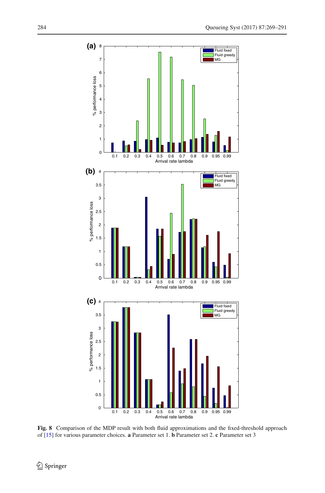

<span id="page-15-0"></span>**Fig. 8** Comparison of the MDP result with both fluid approximations and the fixed-threshold approach of [\[15\]](#page-22-0) for various parameter choices. **a** Parameter set 1. **b** Parameter set 2. **c** Parameter set 3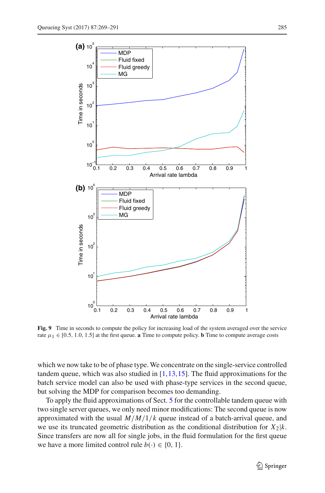

<span id="page-16-0"></span>**Fig. 9** Time in seconds to compute the policy for increasing load of the system averaged over the service rate  $\mu_1 \in [0.5, 1.0, 1.5]$  at the first queue. **a** Time to compute policy. **b** Time to compute average costs

which we now take to be of phase type. We concentrate on the single-service controlled tandem queue, which was also studied in  $[1,13,15]$  $[1,13,15]$  $[1,13,15]$  $[1,13,15]$ . The fluid approximations for the batch service model can also be used with phase-type services in the second queue, but solving the MDP for comparison becomes too demanding.

To apply the fluid approximations of Sect. [5](#page-10-0) for the controllable tandem queue with two single server queues, we only need minor modifications: The second queue is now approximated with the usual *M*/*M*/1/*k* queue instead of a batch-arrival queue, and we use its truncated geometric distribution as the conditional distribution for  $X_2|k$ . Since transfers are now all for single jobs, in the fluid formulation for the first queue we have a more limited control rule  $b(\cdot) \in \{0, 1\}.$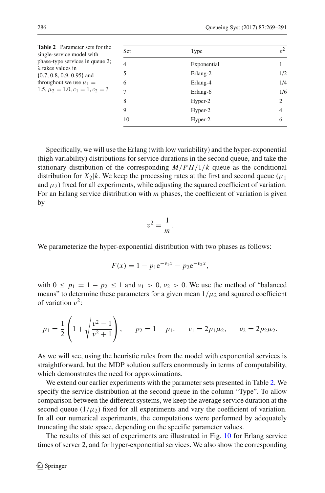<span id="page-17-0"></span>

| <b>Table 2</b> Parameter sets for the<br>single-service model with<br>phase-type services in queue 2;<br>$\lambda$ takes values in<br>$\{0.7, 0.8, 0.9, 0.95\}$ and<br>throughout we use $\mu_1 =$<br>1.5, $\mu_2 = 1.0$ , $c_1 = 1$ , $c_2 = 3$ | Set            | Type        | $v^2$          |  |
|--------------------------------------------------------------------------------------------------------------------------------------------------------------------------------------------------------------------------------------------------|----------------|-------------|----------------|--|
|                                                                                                                                                                                                                                                  | $\overline{4}$ | Exponential |                |  |
|                                                                                                                                                                                                                                                  | 5              | Erlang-2    | 1/2            |  |
|                                                                                                                                                                                                                                                  | 6              | Erlang-4    | 1/4            |  |
|                                                                                                                                                                                                                                                  | 7              | Erlang-6    | 1/6            |  |
|                                                                                                                                                                                                                                                  | 8              | Hyper-2     | 2              |  |
|                                                                                                                                                                                                                                                  | 9              | Hyper-2     | $\overline{4}$ |  |
|                                                                                                                                                                                                                                                  | 10             | Hyper-2     | 6              |  |
|                                                                                                                                                                                                                                                  |                |             |                |  |

Specifically, we will use the Erlang (with low variability) and the hyper-exponential (high variability) distributions for service durations in the second queue, and take the stationary distribution of the corresponding *M*/*P H*/1/*k* queue as the conditional distribution for  $X_2|k$ . We keep the processing rates at the first and second queue ( $\mu_1$ ) and  $\mu_2$ ) fixed for all experiments, while adjusting the squared coefficient of variation. For an Erlang service distribution with *m* phases, the coefficient of variation is given by

$$
v^2 = \frac{1}{m}.
$$

We parameterize the hyper-exponential distribution with two phases as follows:

$$
F(x) = 1 - p_1 e^{-\nu_1 x} - p_2 e^{-\nu_2 x},
$$

with  $0 \leq p_1 = 1 - p_2 \leq 1$  and  $v_1 > 0$ ,  $v_2 > 0$ . We use the method of "balanced" means" to determine these parameters for a given mean  $1/\mu_2$  and squared coefficient of variation  $v^2$ :

$$
p_1 = \frac{1}{2} \left( 1 + \sqrt{\frac{v^2 - 1}{v^2 + 1}} \right), \qquad p_2 = 1 - p_1, \qquad v_1 = 2p_1\mu_2, \qquad v_2 = 2p_2\mu_2.
$$

As we will see, using the heuristic rules from the model with exponential services is straightforward, but the MDP solution suffers enormously in terms of computability, which demonstrates the need for approximations.

We extend our earlier experiments with the parameter sets presented in Table [2.](#page-17-0) We specify the service distribution at the second queue in the column "Type". To allow comparison between the different systems, we keep the average service duration at the second queue  $(1/\mu_2)$  fixed for all experiments and vary the coefficient of variation. In all our numerical experiments, the computations were performed by adequately truncating the state space, depending on the specific parameter values.

The results of this set of experiments are illustrated in Fig. [10](#page-18-0) for Erlang service times of server 2, and for hyper-exponential services. We also show the corresponding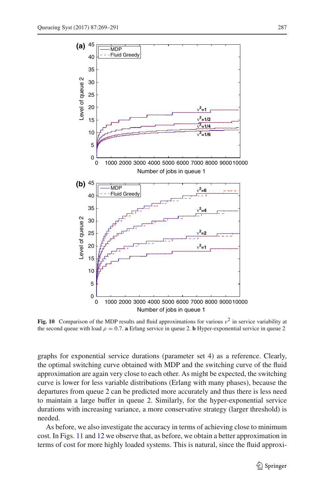

<span id="page-18-0"></span>**Fig. 10** Comparison of the MDP results and fluid approximations for various  $v^2$  in service variability at the second queue with load  $\rho = 0.7$ . **a** Erlang service in queue 2. **b** Hyper-exponential service in queue 2

graphs for exponential service durations (parameter set 4) as a reference. Clearly, the optimal switching curve obtained with MDP and the switching curve of the fluid approximation are again very close to each other. As might be expected, the switching curve is lower for less variable distributions (Erlang with many phases), because the departures from queue 2 can be predicted more accurately and thus there is less need to maintain a large buffer in queue 2. Similarly, for the hyper-exponential service durations with increasing variance, a more conservative strategy (larger threshold) is needed.

As before, we also investigate the accuracy in terms of achieving close to minimum cost. In Figs. [11](#page-19-0) and [12](#page-20-0) we observe that, as before, we obtain a better approximation in terms of cost for more highly loaded systems. This is natural, since the fluid approxi-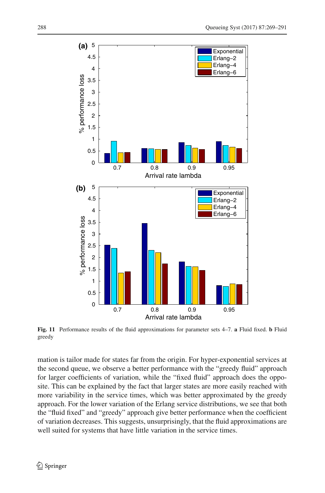

<span id="page-19-0"></span>**Fig. 11** Performance results of the fluid approximations for parameter sets 4–7. **a** Fluid fixed. **b** Fluid greedy

mation is tailor made for states far from the origin. For hyper-exponential services at the second queue, we observe a better performance with the "greedy fluid" approach for larger coefficients of variation, while the "fixed fluid" approach does the opposite. This can be explained by the fact that larger states are more easily reached with more variability in the service times, which was better approximated by the greedy approach. For the lower variation of the Erlang service distributions, we see that both the "fluid fixed" and "greedy" approach give better performance when the coefficient of variation decreases. This suggests, unsurprisingly, that the fluid approximations are well suited for systems that have little variation in the service times.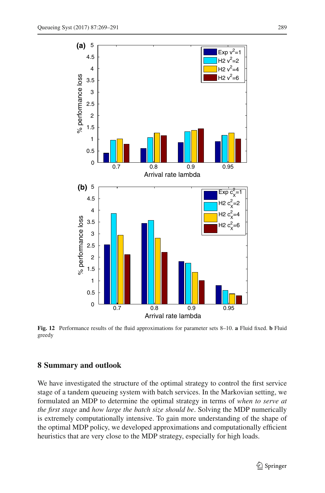

<span id="page-20-0"></span>**Fig. 12** Performance results of the fluid approximations for parameter sets 8–10. **a** Fluid fixed. **b** Fluid greedy

## **8 Summary and outlook**

We have investigated the structure of the optimal strategy to control the first service stage of a tandem queueing system with batch services. In the Markovian setting, we formulated an MDP to determine the optimal strategy in terms of *when to serve at the first stage* and *how large the batch size should be*. Solving the MDP numerically is extremely computationally intensive. To gain more understanding of the shape of the optimal MDP policy, we developed approximations and computationally efficient heuristics that are very close to the MDP strategy, especially for high loads.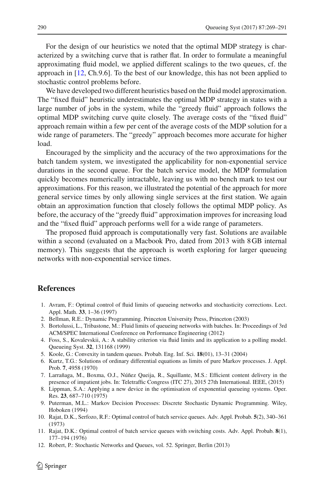For the design of our heuristics we noted that the optimal MDP strategy is characterized by a switching curve that is rather flat. In order to formulate a meaningful approximating fluid model, we applied different scalings to the two queues, cf. the approach in  $[12, Ch.9.6]$  $[12, Ch.9.6]$ . To the best of our knowledge, this has not been applied to stochastic control problems before.

We have developed two different heuristics based on the fluid model approximation. The "fixed fluid" heuristic underestimates the optimal MDP strategy in states with a large number of jobs in the system, while the "greedy fluid" approach follows the optimal MDP switching curve quite closely. The average costs of the "fixed fluid" approach remain within a few per cent of the average costs of the MDP solution for a wide range of parameters. The "greedy" approach becomes more accurate for higher load.

Encouraged by the simplicity and the accuracy of the two approximations for the batch tandem system, we investigated the applicability for non-exponential service durations in the second queue. For the batch service model, the MDP formulation quickly becomes numerically intractable, leaving us with no bench mark to test our approximations. For this reason, we illustrated the potential of the approach for more general service times by only allowing single services at the first station. We again obtain an approximation function that closely follows the optimal MDP policy. As before, the accuracy of the "greedy fluid" approximation improves for increasing load and the "fixed fluid" approach performs well for a wide range of parameters.

The proposed fluid approach is computationally very fast. Solutions are available within a second (evaluated on a Macbook Pro, dated from 2013 with 8 GB internal memory). This suggests that the approach is worth exploring for larger queueing networks with non-exponential service times.

## **References**

- <span id="page-21-0"></span>1. Avram, F.: Optimal control of fluid limits of queueing networks and stochasticity corrections. Lect. Appl. Math. **33**, 1–36 (1997)
- <span id="page-21-5"></span>2. Bellman, R.E.: Dynamic Programming. Princeton University Press, Princeton (2003)
- <span id="page-21-10"></span>3. Bortolussi, L., Tribastone, M.: Fluid limits of queueing networks with batches. In: Proceedings of 3rd ACM/SPEC International Conference on Performance Engineering (2012)
- <span id="page-21-9"></span>4. Foss, S., Kovalevskii, A.: A stability criterion via fluid limits and its application to a polling model. Queueing Syst. **32**, 131168 (1999)
- <span id="page-21-1"></span>5. Koole, G.: Convexity in tandem queues. Probab. Eng. Inf. Sci. **18**(01), 13–31 (2004)
- <span id="page-21-8"></span>6. Kurtz, T.G.: Solutions of ordinary differential equations as limits of pure Markov processes. J. Appl. Prob. **7**, 4958 (1970)
- <span id="page-21-4"></span>7. Larrañaga, M., Boxma, O.J., Núñez Queija, R., Squillante, M.S.: Efficient content delivery in the presence of impatient jobs. In: Teletraffic Congress (ITC 27), 2015 27th International. IEEE, (2015)
- <span id="page-21-7"></span>8. Lippman, S.A.: Applying a new device in the optimisation of exponential queueing systems. Oper. Res. **23**, 687–710 (1975)
- <span id="page-21-6"></span>9. Puterman, M.L.: Markov Decision Processes: Discrete Stochastic Dynamic Programming. Wiley, Hoboken (1994)
- <span id="page-21-2"></span>10. Rajat, D.K., Serfozo, R.F.: Optimal control of batch service queues. Adv. Appl. Probab. **5**(2), 340–361 (1973)
- <span id="page-21-3"></span>11. Rajat, D.K.: Optimal control of batch service queues with switching costs. Adv. Appl. Probab. **8**(1), 177–194 (1976)
- <span id="page-21-11"></span>12. Robert, P.: Stochastic Networks and Queues, vol. 52. Springer, Berlin (2013)